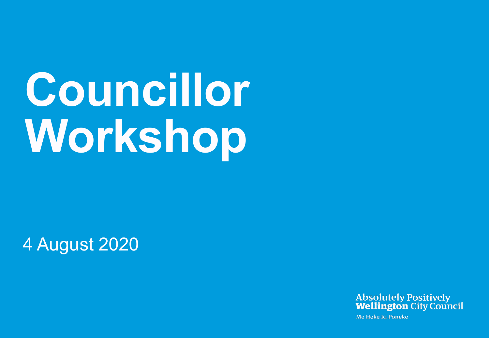# **Councillor Workshop**

#### 4 August 2020



Me Heke Ki Pôneke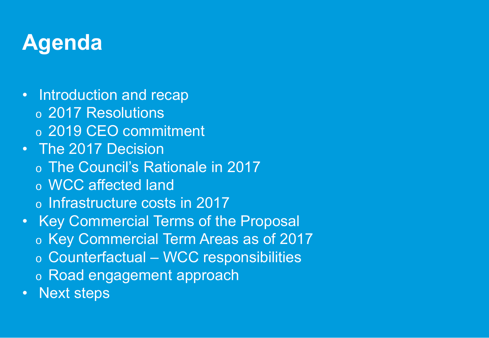### **Agenda**

- Introduction and recap
	- o 2017 Resolutions
	- o 2019 CEO commitment
- The 2017 Decision
	- o The Council's Rationale in 2017
	- o WCC affected land
	- o Infrastructure costs in 2017
- Key Commercial Terms of the Proposal
	- o Key Commercial Term Areas as of 2017
	- o Counterfactual WCC responsibilities
	- o Road engagement approach
- Next steps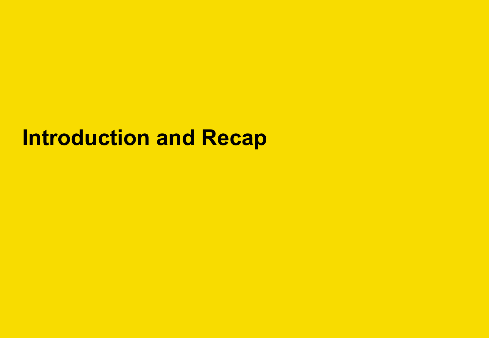#### **Introduction and Recap**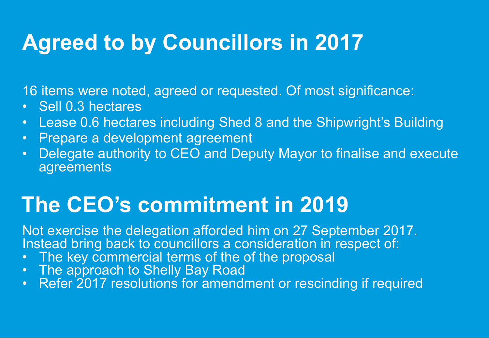### **Agreed to by Councillors in 2017**

16 items were noted, agreed or requested. Of most significance:

- Sell 0.3 hectares
- Lease 0.6 hectares including Shed 8 and the Shipwright's Building
- Prepare a development agreement
- Delegate authority to CEO and Deputy Mayor to finalise and execute agreements

#### **The CEO's commitment in 2019**

Not exercise the delegation afforded him on 27 September 2017. Instead bring back to councillors a consideration in respect of:

- The key commercial terms of the of the proposal
- The approach to Shelly Bay Road
- Refer 2017 resolutions for amendment or rescinding if required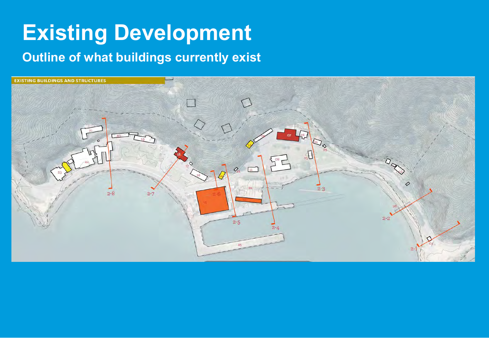### **Existing Development**

#### **Outline of what buildings currently exist**

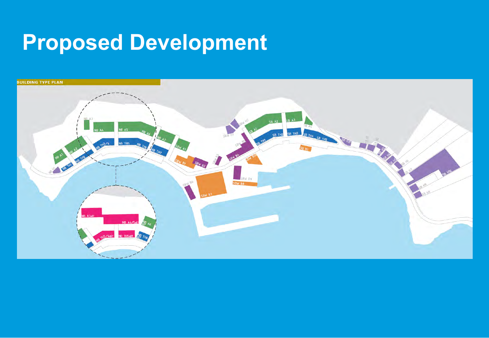# **Proposed Development**

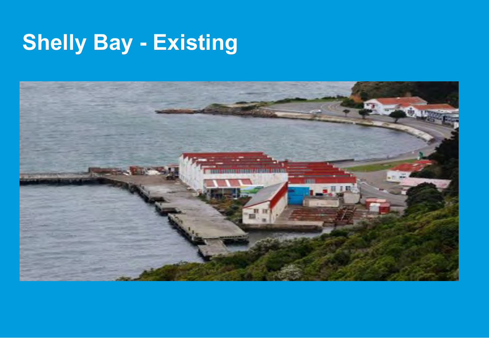# **Shelly Bay - Existing**

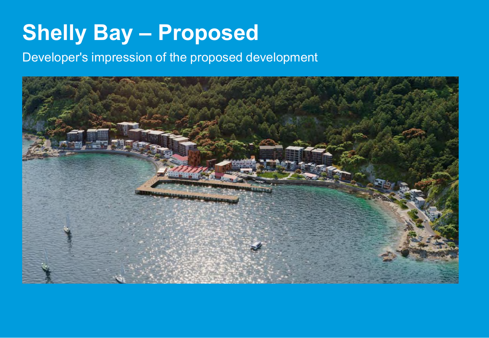### **Shelly Bay – Proposed**

#### Developer's impression of the proposed development

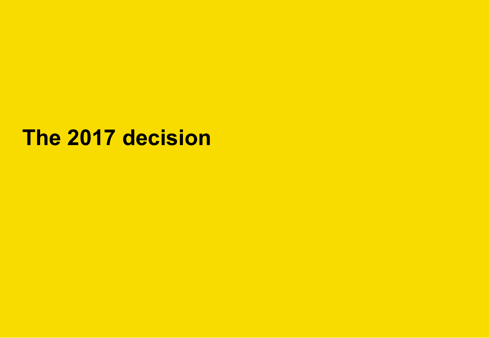#### **The 2017 decision**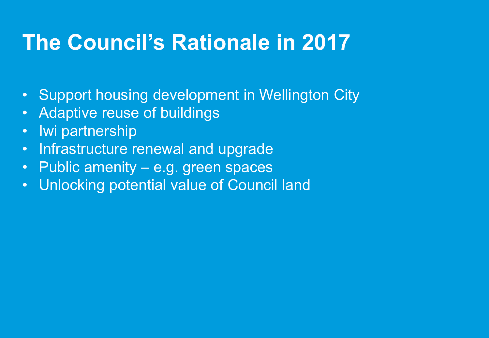#### **The Council's Rationale in 2017**

- Support housing development in Wellington City
- Adaptive reuse of buildings
- Iwi partnership
- Infrastructure renewal and upgrade
- Public amenity e.g. green spaces
- Unlocking potential value of Council land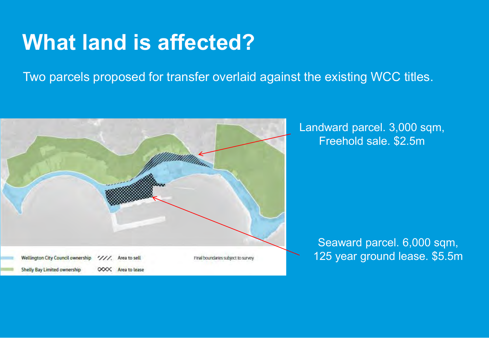#### **What land is affected?**

Two parcels proposed for transfer overlaid against the existing WCC titles.



Landward parcel. 3,000 sqm, Freehold sale. \$2.5m

> Seaward parcel. 6,000 sqm, 125 year ground lease. \$5.5m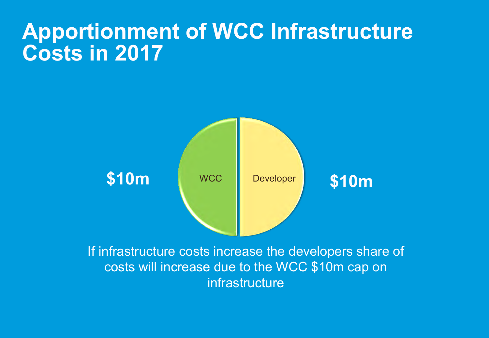#### **Apportionment of WCC Infrastructure Costs in 2017**



costs will increase due to the WCC \$10m cap on infrastructure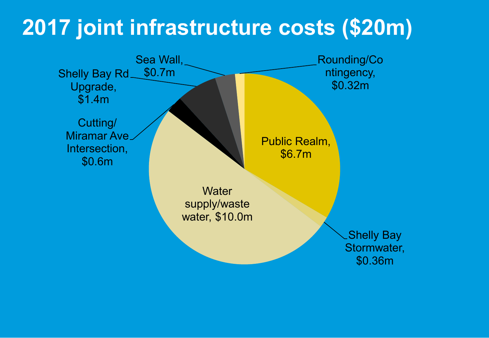#### **2017 joint infrastructure costs (\$20m)**

Public Realm, \$6.7m Shelly Bay Stormwater, \$0.36m **Water** supply/waste water, \$10.0m Cutting/ Miramar Ave Intersection, \$0.6m Shelly Bay Rd Upgrade, \$1.4m Sea Wall, \$0.7m Rounding/Co ntingency, \$0.32m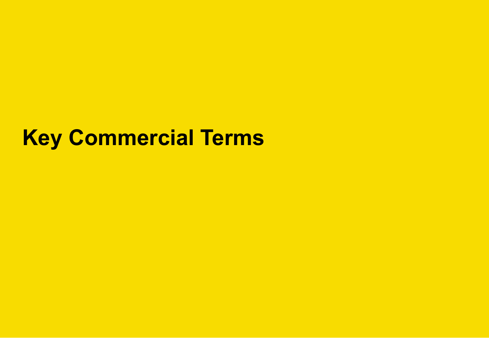#### **Key Commercial Terms**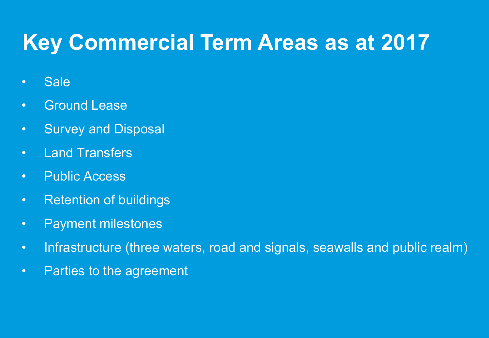#### **Key Commercial Term Areas as at 2017**

- Sale
- Ground Lease
- Survey and Disposal
- Land Transfers
- Public Access
- Retention of buildings
- Payment milestones
- Infrastructure (three waters, road and signals, seawalls and public realm)
- Parties to the agreement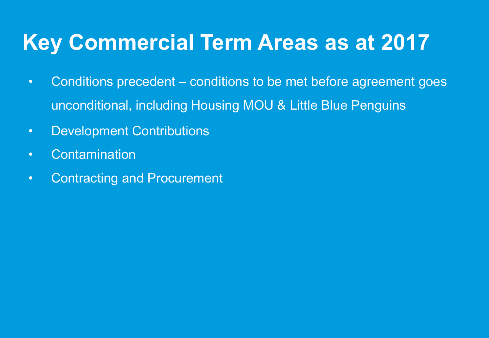#### **Key Commercial Term Areas as at 2017**

- Conditions precedent conditions to be met before agreement goes unconditional, including Housing MOU & Little Blue Penguins
- Development Contributions
- Contamination
- Contracting and Procurement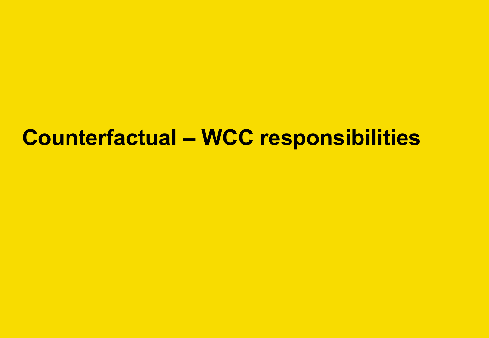#### **Counterfactual – WCC responsibilities**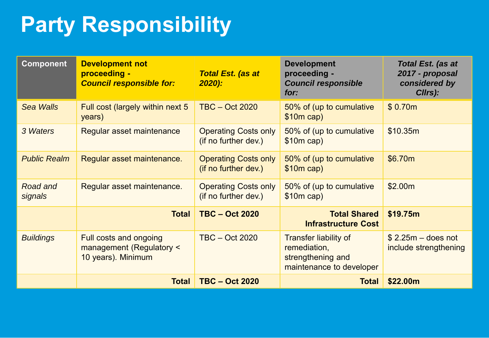# **Party Responsibility**

| <b>Component</b>    | <b>Development not</b><br>proceeding -<br><b>Council responsible for:</b> | <b>Total Est. (as at</b><br>2020):                  | <b>Development</b><br>proceeding -<br><b>Council responsible</b><br>for:                      | <b>Total Est. (as at</b><br>2017 - proposal<br>considered by<br>Cllrs): |
|---------------------|---------------------------------------------------------------------------|-----------------------------------------------------|-----------------------------------------------------------------------------------------------|-------------------------------------------------------------------------|
| <b>Sea Walls</b>    | Full cost (largely within next 5<br>years)                                | <b>TBC - Oct 2020</b>                               | 50% of (up to cumulative<br>$$10m$ cap)                                                       | \$0.70m                                                                 |
| 3 Waters            | Regular asset maintenance                                                 | <b>Operating Costs only</b><br>(if no further dev.) | 50% of (up to cumulative<br>$$10m$ cap)                                                       | \$10.35m                                                                |
| <b>Public Realm</b> | Regular asset maintenance.                                                | <b>Operating Costs only</b><br>(if no further dev.) | 50% of (up to cumulative<br>$$10m$ cap)                                                       | \$6.70m                                                                 |
| Road and<br>signals | Regular asset maintenance.                                                | <b>Operating Costs only</b><br>(if no further dev.) | 50% of (up to cumulative<br>$$10m$ cap)                                                       | \$2.00m                                                                 |
|                     | <b>Total</b>                                                              | <b>TBC - Oct 2020</b>                               | <b>Total Shared</b><br><b>Infrastructure Cost</b>                                             | \$19.75m                                                                |
| <b>Buildings</b>    | Full costs and ongoing<br>management (Regulatory <<br>10 years). Minimum  | $TBC - Oct 2020$                                    | <b>Transfer liability of</b><br>remediation,<br>strengthening and<br>maintenance to developer | $$2.25m -$ does not<br>include strengthening                            |
|                     | <b>Total</b>                                                              | <b>TBC - Oct 2020</b>                               | <b>Total</b>                                                                                  | \$22.00m                                                                |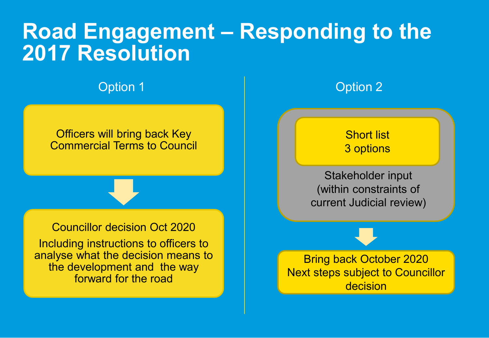#### **Road Engagement – Responding to the 2017 Resolution**

**Option 1** Option 2

#### Officers will bring back Key Commercial Terms to Council

#### Councillor decision Oct 2020

Including instructions to officers to analyse what the decision means to the development and the way forward for the road



#### Short list 3 options

Stakeholder input (within constraints of current Judicial review)

Bring back October 2020 Next steps subject to Councillor decision